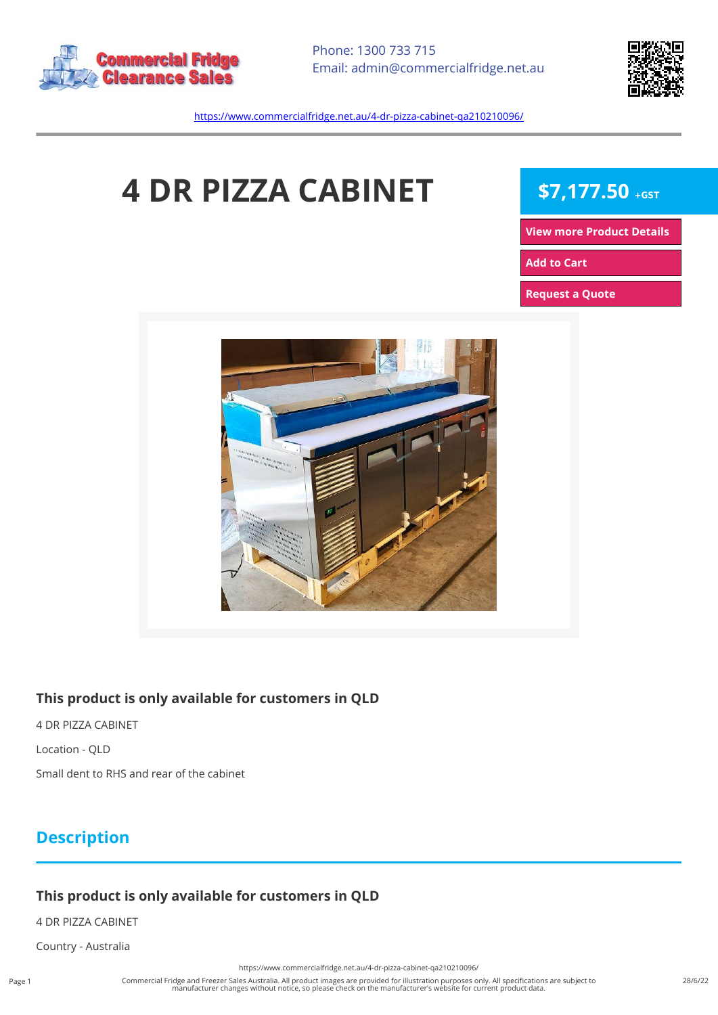



<https://www.commercialfridge.net.au/4-dr-pizza-cabinet-qa210210096/>

# **4 DR PIZZA CABINET** \$7,177.50 +GST

**[View more Product Details](https://www.commercialfridge.net.au/4-dr-pizza-cabinet-qa210210096/)**

**[Add to Cart](https://www.commercialfridge.net.au/4-dr-pizza-cabinet-qa210210096/?addtocart=1)** 

**[Request a Quote](https://www.commercialfridge.net.au/4-dr-pizza-cabinet-qa210210096/?requestaquote=1)** 



#### **This product is only available for customers in QLD**

4 DR PIZZA CABINET Location - QLD

Small dent to RHS and rear of the cabinet

### **Description**

#### **This product is only available for customers in QLD**

4 DR PIZZA CABINET

Country - Australia

<https://www.commercialfridge.net.au/4-dr-pizza-cabinet-qa210210096/>